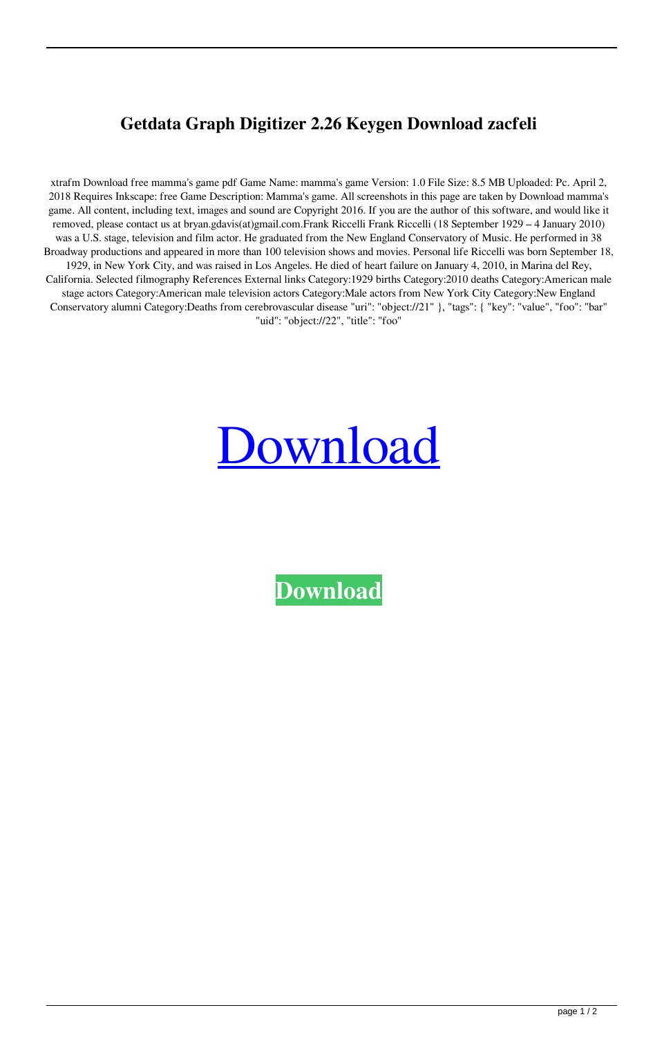## **Getdata Graph Digitizer 2.26 Keygen Download zacfeli**

xtrafm Download free mamma's game pdf Game Name: mamma's game Version: 1.0 File Size: 8.5 MB Uploaded: Pc. April 2, 2018 Requires Inkscape: free Game Description: Mamma's game. All screenshots in this page are taken by Download mamma's game. All content, including text, images and sound are Copyright 2016. If you are the author of this software, and would like it removed, please contact us at bryan.gdavis(at)gmail.com.Frank Riccelli Frank Riccelli (18 September 1929 – 4 January 2010) was a U.S. stage, television and film actor. He graduated from the New England Conservatory of Music. He performed in 38 Broadway productions and appeared in more than 100 television shows and movies. Personal life Riccelli was born September 18, 1929, in New York City, and was raised in Los Angeles. He died of heart failure on January 4, 2010, in Marina del Rey, California. Selected filmography References External links Category:1929 births Category:2010 deaths Category:American male stage actors Category:American male television actors Category:Male actors from New York City Category:New England Conservatory alumni Category:Deaths from cerebrovascular disease "uri": "object://21" }, "tags": { "key": "value", "foo": "bar" "uid": "object://22", "title": "foo"

## [Download](http://evacdir.com/sirohiestates.afferent?triberg=ZG93bmxvYWR8TUM5TVhNMFpIeDhNVFkxTWpRMk16QTFNSHg4TWpVM05IeDhLRTBwSUhKbFlXUXRZbXh2WnlCYlJtRnpkQ0JIUlU1ZA&clirpath=Z2V0ZGF0YSBncmFwaCBkaWdpdGl6ZXIgMi4yNiBrZXlnZW4gZG93bmxvYWQZ2V&sphinx)

**[Download](http://evacdir.com/sirohiestates.afferent?triberg=ZG93bmxvYWR8TUM5TVhNMFpIeDhNVFkxTWpRMk16QTFNSHg4TWpVM05IeDhLRTBwSUhKbFlXUXRZbXh2WnlCYlJtRnpkQ0JIUlU1ZA&clirpath=Z2V0ZGF0YSBncmFwaCBkaWdpdGl6ZXIgMi4yNiBrZXlnZW4gZG93bmxvYWQZ2V&sphinx)**